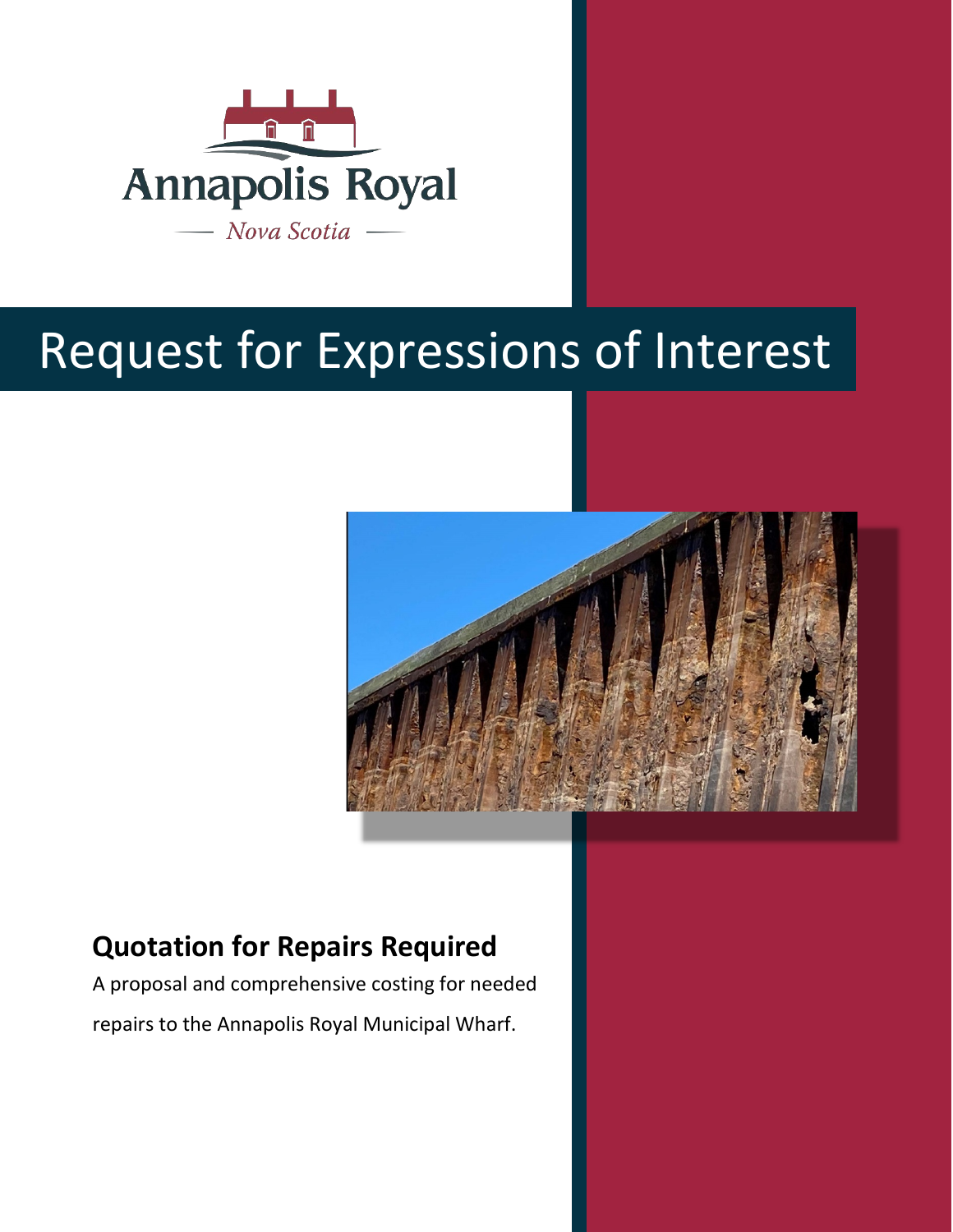

# Request for Expressions of Interest



# **Quotation for Repairs Required**

A proposal and comprehensive costing for needed repairs to the Annapolis Royal Municipal Wharf.